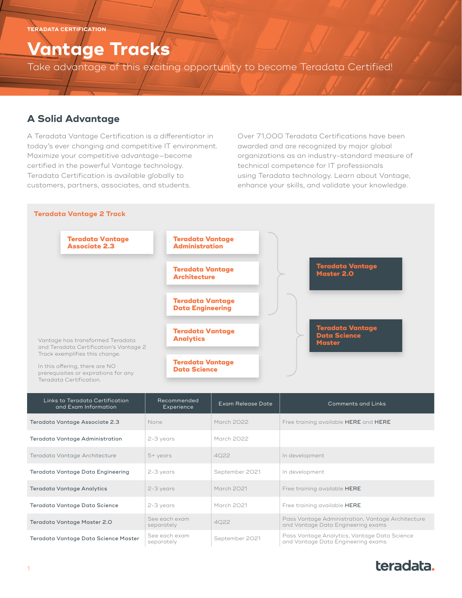# **Vantage Tracks**

Take advantage of this exciting opportunity to become Teradata Certified!

## **A Solid Advantage**

A Teradata Vantage Certification is a differentiator in today's ever changing and competitive IT environment. Maximize your competitive advantage—become certified in the powerful Vantage technology. Teradata Certification is available globally to customers, partners, associates, and students.

Over 71,000 Teradata Certifications have been awarded and are recognized by major global organizations as an industry-standard measure of technical competence for IT professionals using Teradata technology. Learn about Vantage, enhance your skills, and validate your knowledge.



| Links to Teradata Certification<br>and Exam Information | Recommended<br>Experience   | Exam Release Date | <b>Comments and Links</b>                                                               |
|---------------------------------------------------------|-----------------------------|-------------------|-----------------------------------------------------------------------------------------|
| Teradata Vantage Associate 2.3                          | None                        | March 2022        | Free training available HERE and HERE                                                   |
| Teradata Vantage Administration                         | 2-3 years                   | March 2022        |                                                                                         |
| Teradata Vantage Architecture                           | $5+$ years                  | 4Q22              | In development                                                                          |
| Teradata Vantage Data Engineering                       | 2-3 years                   | September 2021    | In development                                                                          |
| Teradata Vantage Analytics                              | 2-3 years                   | March 2021        | Free training available HERE                                                            |
| Teradata Vantage Data Science                           | 2-3 years                   | March 2021        | Free training available HERE                                                            |
| Teradata Vantage Master 2.0                             | See each exam<br>separately | 4Q22              | Pass Vantage Administration, Vantage Architecture<br>and Vantage Data Engineering exams |
| Teradata Vantage Data Science Master                    | See each exam<br>separately | September 2021    | Pass Vantage Analytics, Vantage Data Science<br>and Vantage Data Engineering exams      |

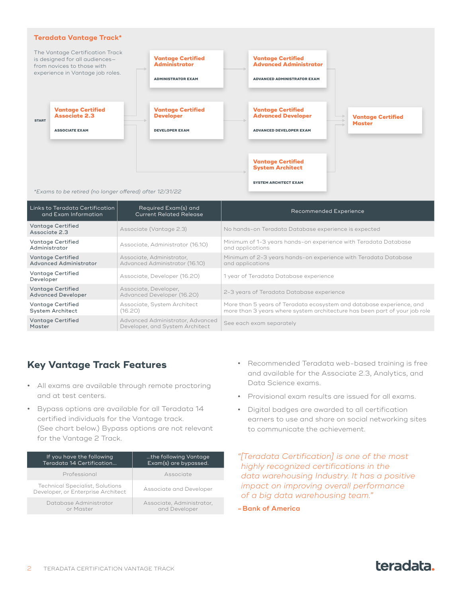#### **Teradata Vantage Track\***



More than 5 years of Teradata ecosystem and database experience, and more than 3 years where system architecture has been part of your job role

Advanced Administrator, Advanced Advanced Administrator, Advanced See each exam separately<br>Developer, and System Architect

## **Key Vantage Track Features**

[Vantage Certified](https://www.teradata.com/University/Certification/Vantage-Certifications/System-Architect-Exam)  [System Architect](https://www.teradata.com/University/Certification/Vantage-Certifications/System-Architect-Exam)

[Vantage Certified](https://www.teradata.com/University/Certification/Vantage-Certifications/Master-Certification) 

[Master](https://www.teradata.com/University/Certification/Vantage-Certifications/Master-Certification)

**•** All exams are available through remote proctoring and at test centers.

(16.20)

Associate, System Architect

**•** Bypass options are available for all Teradata 14 certified individuals for the Vantage track. (See chart below.) Bypass options are not relevant for the Vantage 2 Track.

| If you have the following                                                    | the following Vantage     |
|------------------------------------------------------------------------------|---------------------------|
| Teradata 14 Certification                                                    | Exam(s) are bypassed.     |
| Professional                                                                 | Associate                 |
| <b>Technical Specialist, Solutions</b><br>Developer, or Enterprise Architect | Associate and Developer   |
| Database Administrator                                                       | Associate, Administrator, |
| or Master                                                                    | and Developer             |

- **•** Recommended Teradata web-based training is free and available for the Associate 2.3, Analytics, and Data Science exams.
- **•** Provisional exam results are issued for all exams.
- **•** Digital badges are awarded to all certification earners to use and share on social networking sites to communicate the achievement.

*"[Teradata Certification] is one of the most highly recognized certifications in the data warehousing Industry. It has a positive impact on improving overall performance of a big data warehousing team."*

**-Bank of America**